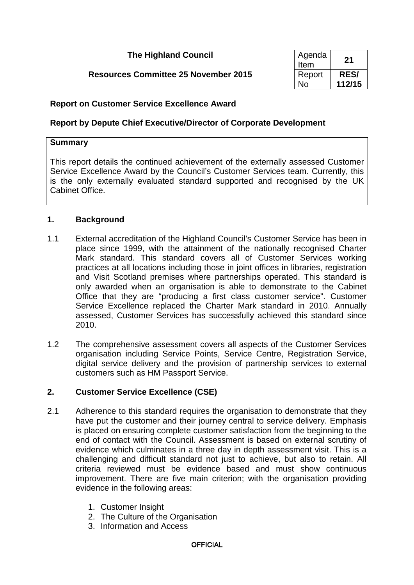## **The Highland Council**

# **Resources Committee 25 November 2015**

| Agenda<br>Item | 21         |
|----------------|------------|
| Report         | <b>RES</b> |
| N٥             | 112/15     |

### **Report on Customer Service Excellence Award**

### **Report by Depute Chief Executive/Director of Corporate Development**

#### **Summary**

This report details the continued achievement of the externally assessed Customer Service Excellence Award by the Council's Customer Services team. Currently, this is the only externally evaluated standard supported and recognised by the UK Cabinet Office.

#### **1. Background**

- 1.1 External accreditation of the Highland Council's Customer Service has been in place since 1999, with the attainment of the nationally recognised Charter Mark standard. This standard covers all of Customer Services working practices at all locations including those in joint offices in libraries, registration and Visit Scotland premises where partnerships operated. This standard is only awarded when an organisation is able to demonstrate to the Cabinet Office that they are "producing a first class customer service". Customer Service Excellence replaced the Charter Mark standard in 2010. Annually assessed, Customer Services has successfully achieved this standard since 2010.
- 1.2 The comprehensive assessment covers all aspects of the Customer Services organisation including Service Points, Service Centre, Registration Service, digital service delivery and the provision of partnership services to external customers such as HM Passport Service.

#### **2. Customer Service Excellence (CSE)**

- 2.1 Adherence to this standard requires the organisation to demonstrate that they have put the customer and their journey central to service delivery. Emphasis is placed on ensuring complete customer satisfaction from the beginning to the end of contact with the Council. Assessment is based on external scrutiny of evidence which culminates in a three day in depth assessment visit. This is a challenging and difficult standard not just to achieve, but also to retain. All criteria reviewed must be evidence based and must show continuous improvement. There are five main criterion; with the organisation providing evidence in the following areas:
	- 1. Customer Insight
	- 2. The Culture of the Organisation
	- 3. Information and Access

#### **OFFICIAL**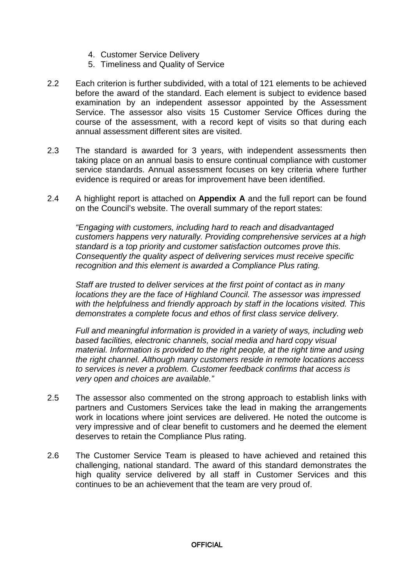- 4. Customer Service Delivery
- 5. Timeliness and Quality of Service
- 2.2 Each criterion is further subdivided, with a total of 121 elements to be achieved before the award of the standard. Each element is subject to evidence based examination by an independent assessor appointed by the Assessment Service. The assessor also visits 15 Customer Service Offices during the course of the assessment, with a record kept of visits so that during each annual assessment different sites are visited.
- 2.3 The standard is awarded for 3 years, with independent assessments then taking place on an annual basis to ensure continual compliance with customer service standards. Annual assessment focuses on key criteria where further evidence is required or areas for improvement have been identified.
- 2.4 A highlight report is attached on **Appendix A** and the full report can be found on the Council's website. The overall summary of the report states:

*"Engaging with customers, including hard to reach and disadvantaged customers happens very naturally. Providing comprehensive services at a high standard is a top priority and customer satisfaction outcomes prove this. Consequently the quality aspect of delivering services must receive specific recognition and this element is awarded a Compliance Plus rating.*

*Staff are trusted to deliver services at the first point of contact as in many locations they are the face of Highland Council. The assessor was impressed with the helpfulness and friendly approach by staff in the locations visited. This demonstrates a complete focus and ethos of first class service delivery.*

*Full and meaningful information is provided in a variety of ways, including web based facilities, electronic channels, social media and hard copy visual material. Information is provided to the right people, at the right time and using the right channel. Although many customers reside in remote locations access to services is never a problem. Customer feedback confirms that access is very open and choices are available."*

- 2.5 The assessor also commented on the strong approach to establish links with partners and Customers Services take the lead in making the arrangements work in locations where joint services are delivered. He noted the outcome is very impressive and of clear benefit to customers and he deemed the element deserves to retain the Compliance Plus rating.
- 2.6 The Customer Service Team is pleased to have achieved and retained this challenging, national standard. The award of this standard demonstrates the high quality service delivered by all staff in Customer Services and this continues to be an achievement that the team are very proud of.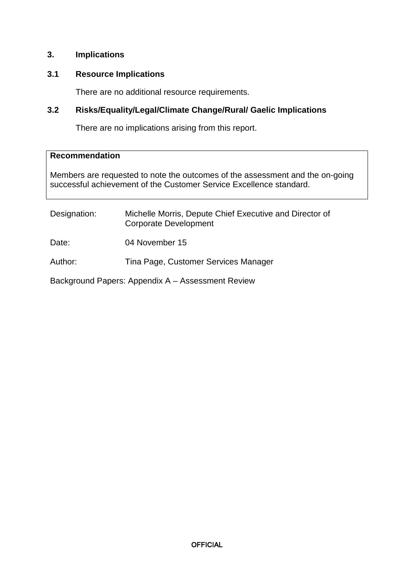### **3. Implications**

# **3.1 Resource Implications**

There are no additional resource requirements.

### **3.2 Risks/Equality/Legal/Climate Change/Rural/ Gaelic Implications**

There are no implications arising from this report.

#### **Recommendation**

Members are requested to note the outcomes of the assessment and the on-going successful achievement of the Customer Service Excellence standard.

| Designation: | Michelle Morris, Depute Chief Executive and Director of<br><b>Corporate Development</b> |
|--------------|-----------------------------------------------------------------------------------------|
| Date:        | 04 November 15                                                                          |
| Author:      | Tina Page, Customer Services Manager                                                    |
|              | Background Papers: Appendix A - Assessment Review                                       |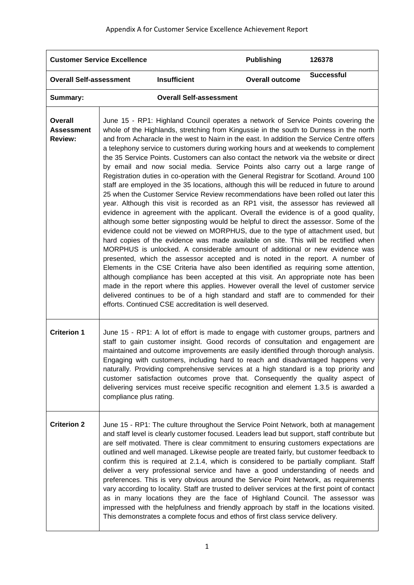| <b>Customer Service Excellence</b>             |                                                                                                                                                                                                                                                                                                                                                                                                                                                                                                                                                                                                                                                                                                                                                                                                                                                                                                                                                                                                                                                                                                                                                                                                                                                                                                                                                                                                                                                                                                                                                                                                                                                                                                                                                                                                                                                                      | <b>Publishing</b>                                                                                                                                                                                                                                                                                                                                                                                                                                                                                                                                                                                                                                                                                                                                                                                                                                                                                                                                                                                        | 126378                 |                   |
|------------------------------------------------|----------------------------------------------------------------------------------------------------------------------------------------------------------------------------------------------------------------------------------------------------------------------------------------------------------------------------------------------------------------------------------------------------------------------------------------------------------------------------------------------------------------------------------------------------------------------------------------------------------------------------------------------------------------------------------------------------------------------------------------------------------------------------------------------------------------------------------------------------------------------------------------------------------------------------------------------------------------------------------------------------------------------------------------------------------------------------------------------------------------------------------------------------------------------------------------------------------------------------------------------------------------------------------------------------------------------------------------------------------------------------------------------------------------------------------------------------------------------------------------------------------------------------------------------------------------------------------------------------------------------------------------------------------------------------------------------------------------------------------------------------------------------------------------------------------------------------------------------------------------------|----------------------------------------------------------------------------------------------------------------------------------------------------------------------------------------------------------------------------------------------------------------------------------------------------------------------------------------------------------------------------------------------------------------------------------------------------------------------------------------------------------------------------------------------------------------------------------------------------------------------------------------------------------------------------------------------------------------------------------------------------------------------------------------------------------------------------------------------------------------------------------------------------------------------------------------------------------------------------------------------------------|------------------------|-------------------|
| <b>Overall Self-assessment</b>                 |                                                                                                                                                                                                                                                                                                                                                                                                                                                                                                                                                                                                                                                                                                                                                                                                                                                                                                                                                                                                                                                                                                                                                                                                                                                                                                                                                                                                                                                                                                                                                                                                                                                                                                                                                                                                                                                                      | <b>Insufficient</b>                                                                                                                                                                                                                                                                                                                                                                                                                                                                                                                                                                                                                                                                                                                                                                                                                                                                                                                                                                                      | <b>Overall outcome</b> | <b>Successful</b> |
| Summary:                                       |                                                                                                                                                                                                                                                                                                                                                                                                                                                                                                                                                                                                                                                                                                                                                                                                                                                                                                                                                                                                                                                                                                                                                                                                                                                                                                                                                                                                                                                                                                                                                                                                                                                                                                                                                                                                                                                                      | <b>Overall Self-assessment</b>                                                                                                                                                                                                                                                                                                                                                                                                                                                                                                                                                                                                                                                                                                                                                                                                                                                                                                                                                                           |                        |                   |
| Overall<br><b>Assessment</b><br><b>Review:</b> | June 15 - RP1: Highland Council operates a network of Service Points covering the<br>whole of the Highlands, stretching from Kingussie in the south to Durness in the north<br>and from Acharacle in the west to Nairn in the east. In addition the Service Centre offers<br>a telephony service to customers during working hours and at weekends to complement<br>the 35 Service Points. Customers can also contact the network via the website or direct<br>by email and now social media. Service Points also carry out a large range of<br>Registration duties in co-operation with the General Registrar for Scotland. Around 100<br>staff are employed in the 35 locations, although this will be reduced in future to around<br>25 when the Customer Service Review recommendations have been rolled out later this<br>year. Although this visit is recorded as an RP1 visit, the assessor has reviewed all<br>evidence in agreement with the applicant. Overall the evidence is of a good quality,<br>although some better signposting would be helpful to direct the assessor. Some of the<br>evidence could not be viewed on MORPHUS, due to the type of attachment used, but<br>hard copies of the evidence was made available on site. This will be rectified when<br>MORPHUS is unlocked. A considerable amount of additional or new evidence was<br>presented, which the assessor accepted and is noted in the report. A number of<br>Elements in the CSE Criteria have also been identified as requiring some attention,<br>although compliance has been accepted at this visit. An appropriate note has been<br>made in the report where this applies. However overall the level of customer service<br>delivered continues to be of a high standard and staff are to commended for their<br>efforts. Continued CSE accreditation is well deserved. |                                                                                                                                                                                                                                                                                                                                                                                                                                                                                                                                                                                                                                                                                                                                                                                                                                                                                                                                                                                                          |                        |                   |
| <b>Criterion 1</b>                             | compliance plus rating.                                                                                                                                                                                                                                                                                                                                                                                                                                                                                                                                                                                                                                                                                                                                                                                                                                                                                                                                                                                                                                                                                                                                                                                                                                                                                                                                                                                                                                                                                                                                                                                                                                                                                                                                                                                                                                              | June 15 - RP1: A lot of effort is made to engage with customer groups, partners and<br>staff to gain customer insight. Good records of consultation and engagement are<br>maintained and outcome improvements are easily identified through thorough analysis.<br>Engaging with customers, including hard to reach and disadvantaged happens very<br>naturally. Providing comprehensive services at a high standard is a top priority and<br>customer satisfaction outcomes prove that. Consequently the quality aspect of<br>delivering services must receive specific recognition and element 1.3.5 is awarded a                                                                                                                                                                                                                                                                                                                                                                                       |                        |                   |
| <b>Criterion 2</b>                             |                                                                                                                                                                                                                                                                                                                                                                                                                                                                                                                                                                                                                                                                                                                                                                                                                                                                                                                                                                                                                                                                                                                                                                                                                                                                                                                                                                                                                                                                                                                                                                                                                                                                                                                                                                                                                                                                      | June 15 - RP1: The culture throughout the Service Point Network, both at management<br>and staff level is clearly customer focused. Leaders lead but support, staff contribute but<br>are self motivated. There is clear commitment to ensuring customers expectations are<br>outlined and well managed. Likewise people are treated fairly, but customer feedback to<br>confirm this is required at 2.1.4, which is considered to be partially compliant. Staff<br>deliver a very professional service and have a good understanding of needs and<br>preferences. This is very obvious around the Service Point Network, as requirements<br>vary according to locality. Staff are trusted to deliver services at the first point of contact<br>as in many locations they are the face of Highland Council. The assessor was<br>impressed with the helpfulness and friendly approach by staff in the locations visited.<br>This demonstrates a complete focus and ethos of first class service delivery. |                        |                   |